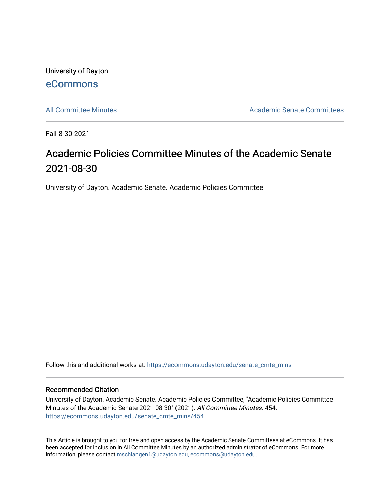University of Dayton [eCommons](https://ecommons.udayton.edu/)

[All Committee Minutes](https://ecommons.udayton.edu/senate_cmte_mins) **Academic Senate Committees** Academic Senate Committees

Fall 8-30-2021

# Academic Policies Committee Minutes of the Academic Senate 2021-08-30

University of Dayton. Academic Senate. Academic Policies Committee

Follow this and additional works at: [https://ecommons.udayton.edu/senate\\_cmte\\_mins](https://ecommons.udayton.edu/senate_cmte_mins?utm_source=ecommons.udayton.edu%2Fsenate_cmte_mins%2F454&utm_medium=PDF&utm_campaign=PDFCoverPages)

#### Recommended Citation

University of Dayton. Academic Senate. Academic Policies Committee, "Academic Policies Committee Minutes of the Academic Senate 2021-08-30" (2021). All Committee Minutes. 454. [https://ecommons.udayton.edu/senate\\_cmte\\_mins/454](https://ecommons.udayton.edu/senate_cmte_mins/454?utm_source=ecommons.udayton.edu%2Fsenate_cmte_mins%2F454&utm_medium=PDF&utm_campaign=PDFCoverPages)

This Article is brought to you for free and open access by the Academic Senate Committees at eCommons. It has been accepted for inclusion in All Committee Minutes by an authorized administrator of eCommons. For more information, please contact [mschlangen1@udayton.edu, ecommons@udayton.edu](mailto:mschlangen1@udayton.edu,%20ecommons@udayton.edu).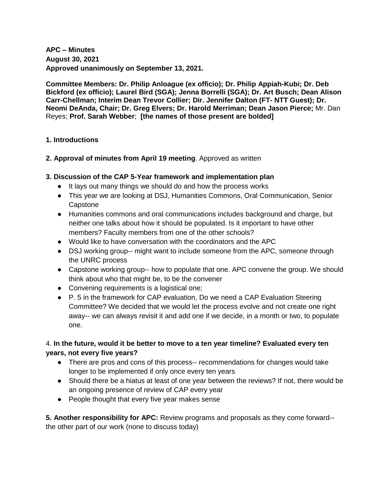# **APC – Minutes August 30, 2021 Approved unanimously on September 13, 2021.**

**Committee Members: Dr. Philip Anloague (ex officio); Dr. Philip Appiah-Kubi; Dr. Deb Bickford (ex officio); Laurel Bird (SGA); Jenna Borrelli (SGA); Dr. Art Busch; Dean Alison Carr-Chellman; Interim Dean Trevor Collier; Dir. Jennifer Dalton (FT- NTT Guest); Dr. Neomi DeAnda, Chair; Dr. Greg Elvers; Dr. Harold Merriman; Dean Jason Pierce;** Mr. Dan Reyes; **Prof. Sarah Webber**; **[the names of those present are bolded]**

#### **1. Introductions**

**2. Approval of minutes from April 19 meeting**. Approved as written

### **3. Discussion of the CAP 5-Year framework and implementation plan**

- It lays out many things we should do and how the process works
- This year we are looking at DSJ, Humanities Commons, Oral Communication, Senior **Capstone**
- Humanities commons and oral communications includes background and charge, but neither one talks about how it should be populated. Is it important to have other members? Faculty members from one of the other schools?
- Would like to have conversation with the coordinators and the APC
- DSJ working group-- might want to include someone from the APC, someone through the UNRC process
- Capstone working group-- how to populate that one. APC convene the group. We should think about who that might be, to be the convener
- Convening requirements is a logistical one;
- P. 5 in the framework for CAP evaluation, Do we need a CAP Evaluation Steering Committee? We decided that we would let the process evolve and not create one right away-- we can always revisit it and add one if we decide, in a month or two, to populate one.

# 4. **In the future, would it be better to move to a ten year timeline? Evaluated every ten years, not every five years?**

- There are pros and cons of this process-- recommendations for changes would take longer to be implemented if only once every ten years
- Should there be a hiatus at least of one year between the reviews? If not, there would be an ongoing presence of review of CAP every year
- People thought that every five year makes sense

**5. Another responsibility for APC:** Review programs and proposals as they come forward- the other part of our work (none to discuss today)